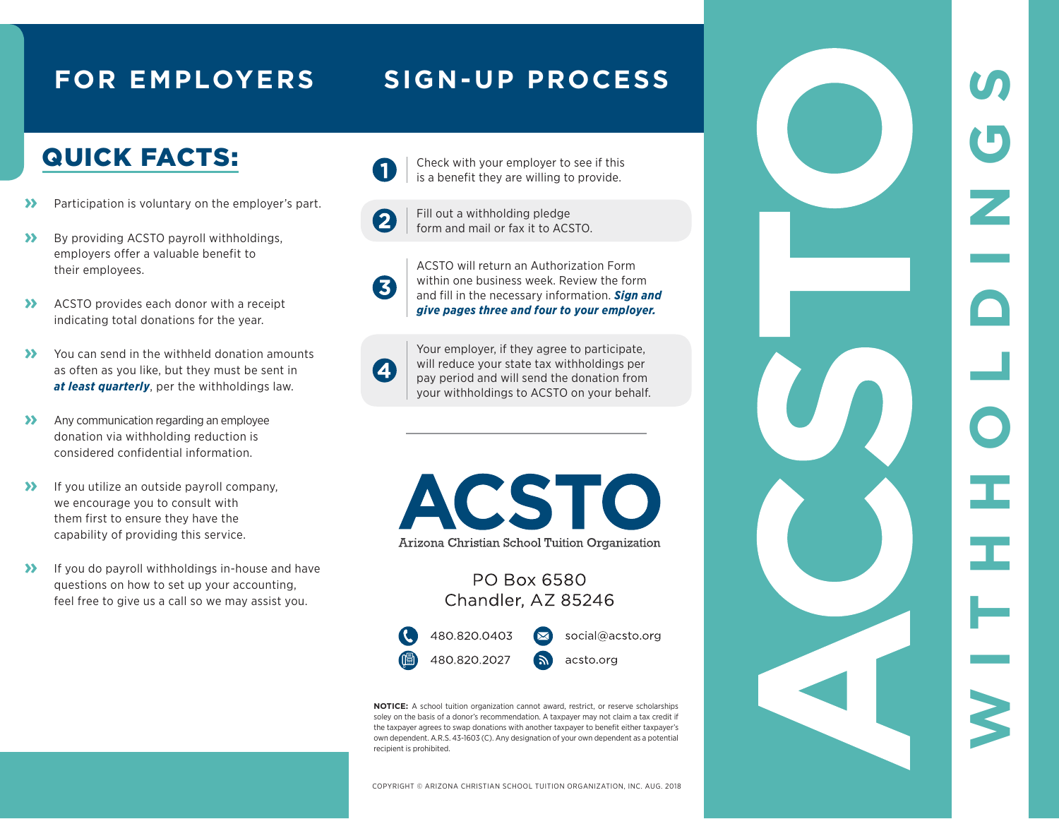#### **FOR EMPLOYERS SIGN-UP PROCESS**

## QUICK FACTS:

- **»** Participation is voluntary on the employer's part.
- **»** By providing ACSTO payroll withholdings, employers offer a valuable benefit to their employees.
- **»** ACSTO provides each donor with a receipt indicating total donations for the year.
- **»** You can send in the withheld donation amounts as often as you like, but they must be sent in *at least quarterly*, per the withholdings law.
- **»** Any communication regarding an employee donation via withholding reduction is considered confidential information.
- **»** If you utilize an outside payroll company, we encourage you to consult with them first to ensure they have the capability of providing this service.
- **»** If you do payroll withholdings in-house and have questions on how to set up your accounting, feel free to give us a call so we may assist you.



Check with your employer to see if this is a benefit they are willing to provide.

Fill out a withholding pledge  $\mathbf{2}$ form and mail or fax it to ACSTO.



ACSTO will return an Authorization Form within one business week. Review the form and fill in the necessary information. *Sign and give pages three and four to your employer.*

 $\boldsymbol{A}$ 

Your employer, if they agree to participate, will reduce your state tax withholdings per pay period and will send the donation from your withholdings to ACSTO on your behalf. **WITHHOLDINGS**

C

Ι

Œ

H

U

 $\overline{\phantom{a}}$ 

**ACSTO** Arizona Christian School Tuition Organization

#### PO Box 6580 Chandler, AZ 85246



**NOTICE:** A school tuition organization cannot award, restrict, or reserve scholarships soley on the basis of a donor's recommendation. A taxpayer may not claim a tax credit if the taxpayer agrees to swap donations with another taxpayer to benefit either taxpayer's own dependent. A.R.S. 43-1603 (C). Any designation of your own dependent as a potential recipient is prohibited.